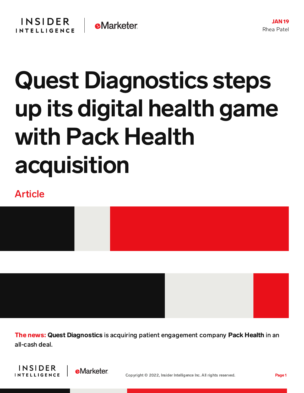## Quest Diagnostics steps up its digital health game with Pack Health acquisition

## Article

The news: Quest Diagnostics is acquiring patient engagement company Pack Health in an all-cash deal.



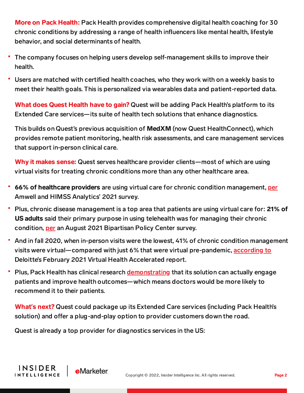More on Pack Health: Pack Health provides comprehensive digital health coaching for 30 chronic conditions by addressing a range of health influencers like mental health, lifestyle behavior, and social determinants of health.

- The company focuses on helping users develop self-management skills to improve their health.
- Users are matched with certified health coaches, who they work with on a weekly basis to meet their health goals. This is personalized via wearables data and patient-reported data.

What does Quest Health have to gain? Quest will be adding Pack Health's platform to its Extended Care services—its suite of health tech solutions that enhance diagnostics.

This builds on Quest's previous acquisition of MedXM (now Quest HealthConnect), which provides remote patient monitoring, health risk assessments, and care management services that support in-person clinical care.

Why it makes sense: Quest serves healthcare provider clients—most of which are using virtual visits for treating chronic conditions more than any other healthcare area.

- 66% of healthcare providers are using virtual care for chronic condition management, [per](https://business.amwell.com/press-release/amwell-industry-telehealth-survey-paints-picture-of-an-integrated-streamlined-digital-care-future/) Amwell and HIMSS Analytics' 2021 survey.
- Plus, chronic disease management is a top area that patients are using virtual care for: 21% of US adults said their primary purpose in using telehealth was for managing their chronic condition, [per](https://chart-na1.emarketer.com/249485/us-adults-primary-purpose-using-telehealth-service-july-2021-of-respondents) an August 2021 Bipartisan Policy Center survey.
- And in fall 2020, when in-person visits were the lowest, 41% of chronic condition management visits were virtual—compared with just 6% that were virtual pre-pandemic, [according](https://chart-na1.emarketer.com/245165/share-of-virtual-visits-us-health-organizations-according-us-clinical-leaders-fall-2020-of-respondents) to Deloitte's February 2021 Virtual Health Accelerated report.
- ۳ Plus, Pack Health has clinical research [demonstrating](https://www.prnewswire.com/news-releases/pack-health-publishes-research-confirming-impact-for-patients-with-type-2-diabetes-in-jmir-diabetes-301308648.html) that its solution can actually engage patients and improve health outcomes—which means doctors would be more likely to recommend it to their patients.

What**'**s next? Quest could package up its Extended Care services (including Pack Health's solution) and offer a plug-and-play option to provider customers down the road.

Quest is already a top provider for diagnostics services in the US:

**e**Marketer

**INSIDER** 

**INTELLIGENCE**